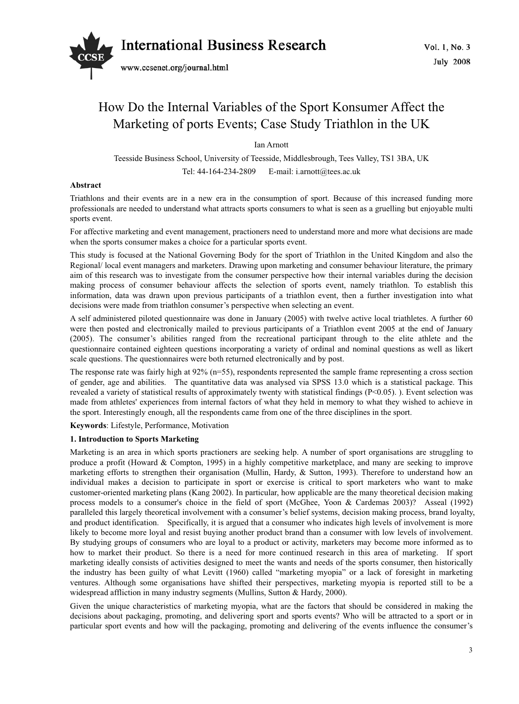

# How Do the Internal Variables of the Sport Konsumer Affect the Marketing of ports Events; Case Study Triathlon in the UK

Ian Arnott

Teesside Business School, University of Teesside, Middlesbrough, Tees Valley, TS1 3BA, UK Tel: 44-164-234-2809 E-mail: i.arnott@tees.ac.uk

## **Abstract**

Triathlons and their events are in a new era in the consumption of sport. Because of this increased funding more professionals are needed to understand what attracts sports consumers to what is seen as a gruelling but enjoyable multi sports event.

For affective marketing and event management, practioners need to understand more and more what decisions are made when the sports consumer makes a choice for a particular sports event.

This study is focused at the National Governing Body for the sport of Triathlon in the United Kingdom and also the Regional/ local event managers and marketers. Drawing upon marketing and consumer behaviour literature, the primary aim of this research was to investigate from the consumer perspective how their internal variables during the decision making process of consumer behaviour affects the selection of sports event, namely triathlon. To establish this information, data was drawn upon previous participants of a triathlon event, then a further investigation into what decisions were made from triathlon consumer's perspective when selecting an event.

A self administered piloted questionnaire was done in January (2005) with twelve active local triathletes. A further 60 were then posted and electronically mailed to previous participants of a Triathlon event 2005 at the end of January (2005). The consumer's abilities ranged from the recreational participant through to the elite athlete and the questionnaire contained eighteen questions incorporating a variety of ordinal and nominal questions as well as likert scale questions. The questionnaires were both returned electronically and by post.

The response rate was fairly high at 92% (n=55), respondents represented the sample frame representing a cross section of gender, age and abilities. The quantitative data was analysed via SPSS 13.0 which is a statistical package. This revealed a variety of statistical results of approximately twenty with statistical findings  $(P< 0.05)$ . ). Event selection was made from athletes' experiences from internal factors of what they held in memory to what they wished to achieve in the sport. Interestingly enough, all the respondents came from one of the three disciplines in the sport.

**Keywords**: Lifestyle, Performance, Motivation

## **1. Introduction to Sports Marketing**

Marketing is an area in which sports practioners are seeking help. A number of sport organisations are struggling to produce a profit (Howard & Compton, 1995) in a highly competitive marketplace, and many are seeking to improve marketing efforts to strengthen their organisation (Mullin, Hardy, & Sutton, 1993). Therefore to understand how an individual makes a decision to participate in sport or exercise is critical to sport marketers who want to make customer-oriented marketing plans (Kang 2002). In particular, how applicable are the many theoretical decision making process models to a consumer's choice in the field of sport (McGhee, Yoon & Cardemas 2003)? Asseal (1992) paralleled this largely theoretical involvement with a consumer's belief systems, decision making process, brand loyalty, and product identification. Specifically, it is argued that a consumer who indicates high levels of involvement is more likely to become more loyal and resist buying another product brand than a consumer with low levels of involvement. By studying groups of consumers who are loyal to a product or activity, marketers may become more informed as to how to market their product. So there is a need for more continued research in this area of marketing. If sport marketing ideally consists of activities designed to meet the wants and needs of the sports consumer, then historically the industry has been guilty of what Levitt (1960) called "marketing myopia" or a lack of foresight in marketing ventures. Although some organisations have shifted their perspectives, marketing myopia is reported still to be a widespread affliction in many industry segments (Mullins, Sutton & Hardy, 2000).

Given the unique characteristics of marketing myopia, what are the factors that should be considered in making the decisions about packaging, promoting, and delivering sport and sports events? Who will be attracted to a sport or in particular sport events and how will the packaging, promoting and delivering of the events influence the consumer's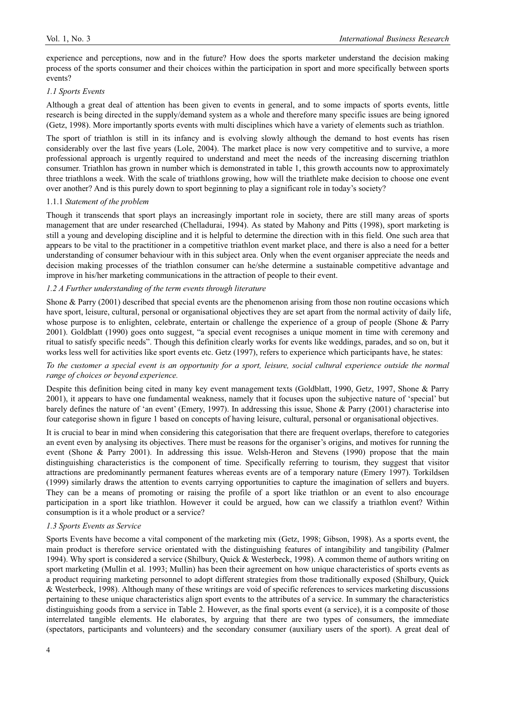experience and perceptions, now and in the future? How does the sports marketer understand the decision making process of the sports consumer and their choices within the participation in sport and more specifically between sports events?

## *1.1 Sports Events*

Although a great deal of attention has been given to events in general, and to some impacts of sports events, little research is being directed in the supply/demand system as a whole and therefore many specific issues are being ignored (Getz, 1998). More importantly sports events with multi disciplines which have a variety of elements such as triathlon.

The sport of triathlon is still in its infancy and is evolving slowly although the demand to host events has risen considerably over the last five years (Lole, 2004). The market place is now very competitive and to survive, a more professional approach is urgently required to understand and meet the needs of the increasing discerning triathlon consumer. Triathlon has grown in number which is demonstrated in table 1, this growth accounts now to approximately three triathlons a week. With the scale of triathlons growing, how will the triathlete make decision to choose one event over another? And is this purely down to sport beginning to play a significant role in today's society?

#### 1.1.1 *Statement of the problem*

Though it transcends that sport plays an increasingly important role in society, there are still many areas of sports management that are under researched (Chelladurai, 1994). As stated by Mahony and Pitts (1998), sport marketing is still a young and developing discipline and it is helpful to determine the direction with in this field. One such area that appears to be vital to the practitioner in a competitive triathlon event market place, and there is also a need for a better understanding of consumer behaviour with in this subject area. Only when the event organiser appreciate the needs and decision making processes of the triathlon consumer can he/she determine a sustainable competitive advantage and improve in his/her marketing communications in the attraction of people to their event.

## *1.2 A Further understanding of the term events through literature*

Shone & Parry (2001) described that special events are the phenomenon arising from those non routine occasions which have sport, leisure, cultural, personal or organisational objectives they are set apart from the normal activity of daily life, whose purpose is to enlighten, celebrate, entertain or challenge the experience of a group of people (Shone & Parry 2001). Goldblatt (1990) goes onto suggest, "a special event recognises a unique moment in time with ceremony and ritual to satisfy specific needs". Though this definition clearly works for events like weddings, parades, and so on, but it works less well for activities like sport events etc. Getz (1997), refers to experience which participants have, he states:

## *To the customer a special event is an opportunity for a sport, leisure, social cultural experience outside the normal range of choices or beyond experience.*

Despite this definition being cited in many key event management texts (Goldblatt, 1990, Getz, 1997, Shone & Parry 2001), it appears to have one fundamental weakness, namely that it focuses upon the subjective nature of 'special' but barely defines the nature of 'an event' (Emery, 1997). In addressing this issue, Shone & Parry (2001) characterise into four categorise shown in figure 1 based on concepts of having leisure, cultural, personal or organisational objectives.

It is crucial to bear in mind when considering this categorisation that there are frequent overlaps, therefore to categories an event even by analysing its objectives. There must be reasons for the organiser's origins, and motives for running the event (Shone & Parry 2001). In addressing this issue. Welsh-Heron and Stevens (1990) propose that the main distinguishing characteristics is the component of time. Specifically referring to tourism, they suggest that visitor attractions are predominantly permanent features whereas events are of a temporary nature (Emery 1997). Torkildsen (1999) similarly draws the attention to events carrying opportunities to capture the imagination of sellers and buyers. They can be a means of promoting or raising the profile of a sport like triathlon or an event to also encourage participation in a sport like triathlon. However it could be argued, how can we classify a triathlon event? Within consumption is it a whole product or a service?

#### *1.3 Sports Events as Service*

Sports Events have become a vital component of the marketing mix (Getz, 1998; Gibson, 1998). As a sports event, the main product is therefore service orientated with the distinguishing features of intangibility and tangibility (Palmer 1994). Why sport is considered a service (Shilbury, Quick & Westerbeck, 1998). A common theme of authors writing on sport marketing (Mullin et al. 1993; Mullin) has been their agreement on how unique characteristics of sports events as a product requiring marketing personnel to adopt different strategies from those traditionally exposed (Shilbury, Quick & Westerbeck, 1998). Although many of these writings are void of specific references to services marketing discussions pertaining to these unique characteristics align sport events to the attributes of a service. In summary the characteristics distinguishing goods from a service in Table 2. However, as the final sports event (a service), it is a composite of those interrelated tangible elements. He elaborates, by arguing that there are two types of consumers, the immediate (spectators, participants and volunteers) and the secondary consumer (auxiliary users of the sport). A great deal of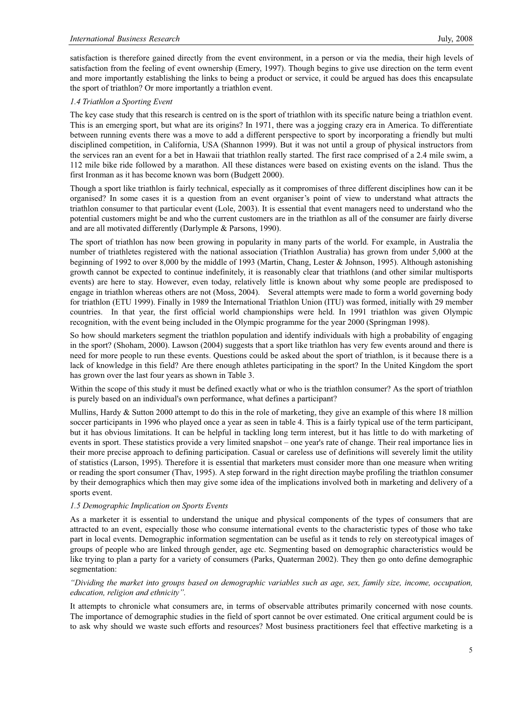satisfaction is therefore gained directly from the event environment, in a person or via the media, their high levels of satisfaction from the feeling of event ownership (Emery, 1997). Though begins to give use direction on the term event and more importantly establishing the links to being a product or service, it could be argued has does this encapsulate the sport of triathlon? Or more importantly a triathlon event.

## *1.4 Triathlon a Sporting Event*

The key case study that this research is centred on is the sport of triathlon with its specific nature being a triathlon event. This is an emerging sport, but what are its origins? In 1971, there was a jogging crazy era in America. To differentiate between running events there was a move to add a different perspective to sport by incorporating a friendly but multi disciplined competition, in California, USA (Shannon 1999). But it was not until a group of physical instructors from the services ran an event for a bet in Hawaii that triathlon really started. The first race comprised of a 2.4 mile swim, a 112 mile bike ride followed by a marathon. All these distances were based on existing events on the island. Thus the first Ironman as it has become known was born (Budgett 2000).

Though a sport like triathlon is fairly technical, especially as it compromises of three different disciplines how can it be organised? In some cases it is a question from an event organiser's point of view to understand what attracts the triathlon consumer to that particular event (Lole, 2003). It is essential that event managers need to understand who the potential customers might be and who the current customers are in the triathlon as all of the consumer are fairly diverse and are all motivated differently (Darlymple & Parsons, 1990).

The sport of triathlon has now been growing in popularity in many parts of the world. For example, in Australia the number of triathletes registered with the national association (Triathlon Australia) has grown from under 5,000 at the beginning of 1992 to over 8,000 by the middle of 1993 (Martin, Chang, Lester & Johnson, 1995). Although astonishing growth cannot be expected to continue indefinitely, it is reasonably clear that triathlons (and other similar multisports events) are here to stay. However, even today, relatively little is known about why some people are predisposed to engage in triathlon whereas others are not (Moss, 2004). Several attempts were made to form a world governing body for triathlon (ETU 1999). Finally in 1989 the International Triathlon Union (ITU) was formed, initially with 29 member countries. In that year, the first official world championships were held. In 1991 triathlon was given Olympic recognition, with the event being included in the Olympic programme for the year 2000 (Springman 1998).

So how should marketers segment the triathlon population and identify individuals with high a probability of engaging in the sport? (Shoham, 2000). Lawson (2004) suggests that a sport like triathlon has very few events around and there is need for more people to run these events. Questions could be asked about the sport of triathlon, is it because there is a lack of knowledge in this field? Are there enough athletes participating in the sport? In the United Kingdom the sport has grown over the last four years as shown in Table 3.

Within the scope of this study it must be defined exactly what or who is the triathlon consumer? As the sport of triathlon is purely based on an individual's own performance, what defines a participant?

Mullins, Hardy & Sutton 2000 attempt to do this in the role of marketing, they give an example of this where 18 million soccer participants in 1996 who played once a year as seen in table 4. This is a fairly typical use of the term participant, but it has obvious limitations. It can be helpful in tackling long term interest, but it has little to do with marketing of events in sport. These statistics provide a very limited snapshot – one year's rate of change. Their real importance lies in their more precise approach to defining participation. Casual or careless use of definitions will severely limit the utility of statistics (Larson, 1995). Therefore it is essential that marketers must consider more than one measure when writing or reading the sport consumer (Thav, 1995). A step forward in the right direction maybe profiling the triathlon consumer by their demographics which then may give some idea of the implications involved both in marketing and delivery of a sports event.

#### *1.5 Demographic Implication on Sports Events*

As a marketer it is essential to understand the unique and physical components of the types of consumers that are attracted to an event, especially those who consume international events to the characteristic types of those who take part in local events. Demographic information segmentation can be useful as it tends to rely on stereotypical images of groups of people who are linked through gender, age etc. Segmenting based on demographic characteristics would be like trying to plan a party for a variety of consumers (Parks, Quaterman 2002). They then go onto define demographic segmentation:

*"Dividing the market into groups based on demographic variables such as age, sex, family size, income, occupation, education, religion and ethnicity".*

It attempts to chronicle what consumers are, in terms of observable attributes primarily concerned with nose counts. The importance of demographic studies in the field of sport cannot be over estimated. One critical argument could be is to ask why should we waste such efforts and resources? Most business practitioners feel that effective marketing is a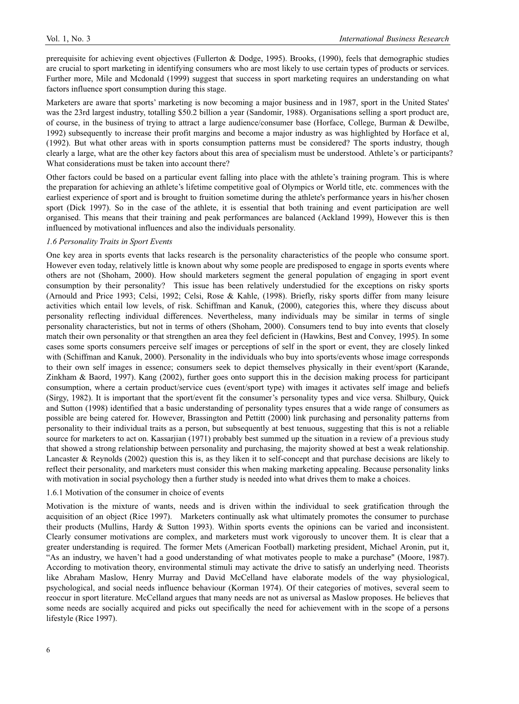prerequisite for achieving event objectives (Fullerton & Dodge, 1995). Brooks, (1990), feels that demographic studies are crucial to sport marketing in identifying consumers who are most likely to use certain types of products or services. Further more, Mile and Mcdonald (1999) suggest that success in sport marketing requires an understanding on what factors influence sport consumption during this stage.

Marketers are aware that sports' marketing is now becoming a major business and in 1987, sport in the United States' was the 23rd largest industry, totalling \$50.2 billion a year (Sandomir, 1988). Organisations selling a sport product are, of course, in the business of trying to attract a large audience/consumer base (Horface, College, Burman & Dewilbe, 1992) subsequently to increase their profit margins and become a major industry as was highlighted by Horface et al, (1992). But what other areas with in sports consumption patterns must be considered? The sports industry, though clearly a large, what are the other key factors about this area of specialism must be understood. Athlete's or participants? What considerations must be taken into account there?

Other factors could be based on a particular event falling into place with the athlete's training program. This is where the preparation for achieving an athlete's lifetime competitive goal of Olympics or World title, etc. commences with the earliest experience of sport and is brought to fruition sometime during the athlete's performance years in his/her chosen sport (Dick 1997). So in the case of the athlete, it is essential that both training and event participation are well organised. This means that their training and peak performances are balanced (Ackland 1999), However this is then influenced by motivational influences and also the individuals personality.

#### *1.6 Personality Traits in Sport Events*

One key area in sports events that lacks research is the personality characteristics of the people who consume sport. However even today, relatively little is known about why some people are predisposed to engage in sports events where others are not (Shoham, 2000). How should marketers segment the general population of engaging in sport event consumption by their personality? This issue has been relatively understudied for the exceptions on risky sports (Arnould and Price 1993; Celsi, 1992; Celsi, Rose & Kahle, (1998). Briefly, risky sports differ from many leisure activities which entail low levels, of risk. Schiffman and Kanuk, (2000), categories this, where they discuss about personality reflecting individual differences. Nevertheless, many individuals may be similar in terms of single personality characteristics, but not in terms of others (Shoham, 2000). Consumers tend to buy into events that closely match their own personality or that strengthen an area they feel deficient in (Hawkins, Best and Convey, 1995). In some cases some sports consumers perceive self images or perceptions of self in the sport or event, they are closely linked with (Schiffman and Kanuk, 2000). Personality in the individuals who buy into sports/events whose image corresponds to their own self images in essence; consumers seek to depict themselves physically in their event/sport (Karande, Zinkham & Baord, 1997). Kang (2002), further goes onto support this in the decision making process for participant consumption, where a certain product/service cues (event/sport type) with images it activates self image and beliefs (Sirgy, 1982). It is important that the sport/event fit the consumer's personality types and vice versa. Shilbury, Quick and Sutton (1998) identified that a basic understanding of personality types ensures that a wide range of consumers as possible are being catered for. However, Brassington and Pettitt (2000) link purchasing and personality patterns from personality to their individual traits as a person, but subsequently at best tenuous, suggesting that this is not a reliable source for marketers to act on. Kassarjian (1971) probably best summed up the situation in a review of a previous study that showed a strong relationship between personality and purchasing, the majority showed at best a weak relationship. Lancaster & Reynolds (2002) question this is, as they liken it to self-concept and that purchase decisions are likely to reflect their personality, and marketers must consider this when making marketing appealing. Because personality links with motivation in social psychology then a further study is needed into what drives them to make a choices.

#### 1.6.1 Motivation of the consumer in choice of events

Motivation is the mixture of wants, needs and is driven within the individual to seek gratification through the acquisition of an object (Rice 1997). Marketers continually ask what ultimately promotes the consumer to purchase their products (Mullins, Hardy & Sutton 1993). Within sports events the opinions can be varied and inconsistent. Clearly consumer motivations are complex, and marketers must work vigorously to uncover them. It is clear that a greater understanding is required. The former Mets (American Football) marketing president, Michael Aronin, put it, "As an industry, we haven't had a good understanding of what motivates people to make a purchase" (Moore, 1987). According to motivation theory, environmental stimuli may activate the drive to satisfy an underlying need. Theorists like Abraham Maslow, Henry Murray and David McCelland have elaborate models of the way physiological, psychological, and social needs influence behaviour (Korman 1974). Of their categories of motives, several seem to reoccur in sport literature. McCelland argues that many needs are not as universal as Maslow proposes. He believes that some needs are socially acquired and picks out specifically the need for achievement with in the scope of a persons lifestyle (Rice 1997).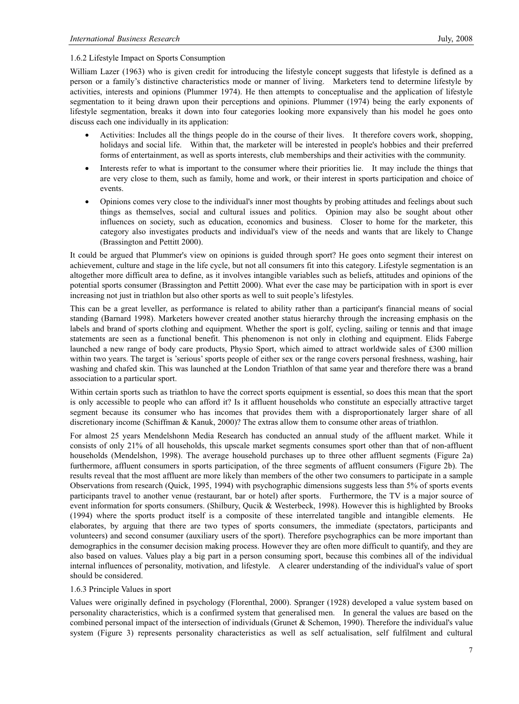### 1.6.2 Lifestyle Impact on Sports Consumption

William Lazer (1963) who is given credit for introducing the lifestyle concept suggests that lifestyle is defined as a person or a family's distinctive characteristics mode or manner of living. Marketers tend to determine lifestyle by activities, interests and opinions (Plummer 1974). He then attempts to conceptualise and the application of lifestyle segmentation to it being drawn upon their perceptions and opinions. Plummer (1974) being the early exponents of lifestyle segmentation, breaks it down into four categories looking more expansively than his model he goes onto discuss each one individually in its application:

- Activities: Includes all the things people do in the course of their lives. It therefore covers work, shopping, holidays and social life. Within that, the marketer will be interested in people's hobbies and their preferred forms of entertainment, as well as sports interests, club memberships and their activities with the community.
- Interests refer to what is important to the consumer where their priorities lie. It may include the things that are very close to them, such as family, home and work, or their interest in sports participation and choice of events.
- x Opinions comes very close to the individual's inner most thoughts by probing attitudes and feelings about such things as themselves, social and cultural issues and politics. Opinion may also be sought about other influences on society, such as education, economics and business. Closer to home for the marketer, this category also investigates products and individual's view of the needs and wants that are likely to Change (Brassington and Pettitt 2000).

It could be argued that Plummer's view on opinions is guided through sport? He goes onto segment their interest on achievement, culture and stage in the life cycle, but not all consumers fit into this category. Lifestyle segmentation is an altogether more difficult area to define, as it involves intangible variables such as beliefs, attitudes and opinions of the potential sports consumer (Brassington and Pettitt 2000). What ever the case may be participation with in sport is ever increasing not just in triathlon but also other sports as well to suit people's lifestyles.

This can be a great leveller, as performance is related to ability rather than a participant's financial means of social standing (Barnard 1998). Marketers however created another status hierarchy through the increasing emphasis on the labels and brand of sports clothing and equipment. Whether the sport is golf, cycling, sailing or tennis and that image statements are seen as a functional benefit. This phenomenon is not only in clothing and equipment. Elids Faberge launched a new range of body care products, Physio Sport, which aimed to attract worldwide sales of £300 million within two years. The target is 'serious' sports people of either sex or the range covers personal freshness, washing, hair washing and chafed skin. This was launched at the London Triathlon of that same year and therefore there was a brand association to a particular sport.

Within certain sports such as triathlon to have the correct sports equipment is essential, so does this mean that the sport is only accessible to people who can afford it? Is it affluent households who constitute an especially attractive target segment because its consumer who has incomes that provides them with a disproportionately larger share of all discretionary income (Schiffman & Kanuk, 2000)? The extras allow them to consume other areas of triathlon.

For almost 25 years Mendelshonn Media Research has conducted an annual study of the affluent market. While it consists of only 21% of all households, this upscale market segments consumes sport other than that of non-affluent households (Mendelshon, 1998). The average household purchases up to three other affluent segments (Figure 2a) furthermore, affluent consumers in sports participation, of the three segments of affluent consumers (Figure 2b). The results reveal that the most affluent are more likely than members of the other two consumers to participate in a sample Observations from research (Quick, 1995, 1994) with psychographic dimensions suggests less than 5% of sports events participants travel to another venue (restaurant, bar or hotel) after sports. Furthermore, the TV is a major source of event information for sports consumers. (Shilbury, Qucik & Westerbeck, 1998). However this is highlighted by Brooks (1994) where the sports product itself is a composite of these interrelated tangible and intangible elements. He elaborates, by arguing that there are two types of sports consumers, the immediate (spectators, participants and volunteers) and second consumer (auxiliary users of the sport). Therefore psychographics can be more important than demographics in the consumer decision making process. However they are often more difficult to quantify, and they are also based on values. Values play a big part in a person consuming sport, because this combines all of the individual internal influences of personality, motivation, and lifestyle. A clearer understanding of the individual's value of sport should be considered.

## 1.6.3 Principle Values in sport

Values were originally defined in psychology (Florenthal, 2000). Spranger (1928) developed a value system based on personality characteristics, which is a confirmed system that generalised men. In general the values are based on the combined personal impact of the intersection of individuals (Grunet & Schemon, 1990). Therefore the individual's value system (Figure 3) represents personality characteristics as well as self actualisation, self fulfilment and cultural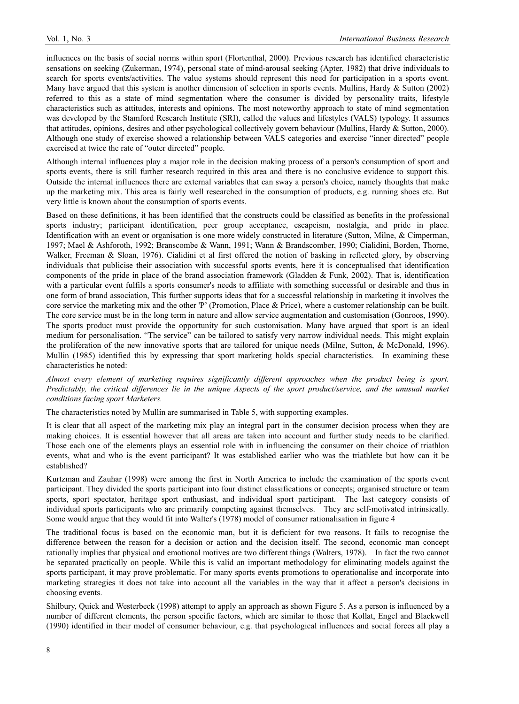influences on the basis of social norms within sport (Flortenthal, 2000). Previous research has identified characteristic sensations on seeking (Zukerman, 1974), personal state of mind-arousal seeking (Apter, 1982) that drive individuals to search for sports events/activities. The value systems should represent this need for participation in a sports event. Many have argued that this system is another dimension of selection in sports events. Mullins, Hardy & Sutton (2002) referred to this as a state of mind segmentation where the consumer is divided by personality traits, lifestyle characteristics such as attitudes, interests and opinions. The most noteworthy approach to state of mind segmentation was developed by the Stamford Research Institute (SRI), called the values and lifestyles (VALS) typology. It assumes that attitudes, opinions, desires and other psychological collectively govern behaviour (Mullins, Hardy & Sutton, 2000). Although one study of exercise showed a relationship between VALS categories and exercise "inner directed" people exercised at twice the rate of "outer directed" people.

Although internal influences play a major role in the decision making process of a person's consumption of sport and sports events, there is still further research required in this area and there is no conclusive evidence to support this. Outside the internal influences there are external variables that can sway a person's choice, namely thoughts that make up the marketing mix. This area is fairly well researched in the consumption of products, e.g. running shoes etc. But very little is known about the consumption of sports events.

Based on these definitions, it has been identified that the constructs could be classified as benefits in the professional sports industry; participant identification, peer group acceptance, escapeism, nostalgia, and pride in place. Identification with an event or organisation is one more widely constructed in literature (Sutton, Milne, & Cimperman, 1997; Mael & Ashforoth, 1992; Branscombe & Wann, 1991; Wann & Brandscomber, 1990; Cialidini, Borden, Thorne, Walker, Freeman & Sloan, 1976). Cialidini et al first offered the notion of basking in reflected glory, by observing individuals that publicise their association with successful sports events, here it is conceptualised that identification components of the pride in place of the brand association framework (Gladden & Funk, 2002). That is, identification with a particular event fulfils a sports consumer's needs to affiliate with something successful or desirable and thus in one form of brand association, This further supports ideas that for a successful relationship in marketing it involves the core service the marketing mix and the other 'P' (Promotion, Place & Price), where a customer relationship can be built. The core service must be in the long term in nature and allow service augmentation and customisation (Gonroos, 1990). The sports product must provide the opportunity for such customisation. Many have argued that sport is an ideal medium for personalisation. "The service" can be tailored to satisfy very narrow individual needs. This might explain the proliferation of the new innovative sports that are tailored for unique needs (Milne, Sutton, & McDonald, 1996). Mullin (1985) identified this by expressing that sport marketing holds special characteristics. In examining these characteristics he noted:

*Almost every element of marketing requires significantly different approaches when the product being is sport. Predictably, the critical differences lie in the unique Aspects of the sport product/service, and the unusual market conditions facing sport Marketers.*

The characteristics noted by Mullin are summarised in Table 5, with supporting examples.

It is clear that all aspect of the marketing mix play an integral part in the consumer decision process when they are making choices. It is essential however that all areas are taken into account and further study needs to be clarified. Those each one of the elements plays an essential role with in influencing the consumer on their choice of triathlon events, what and who is the event participant? It was established earlier who was the triathlete but how can it be established?

Kurtzman and Zauhar (1998) were among the first in North America to include the examination of the sports event participant. They divided the sports participant into four distinct classifications or concepts; organised structure or team sports, sport spectator, heritage sport enthusiast, and individual sport participant. The last category consists of individual sports participants who are primarily competing against themselves. They are self-motivated intrinsically. Some would argue that they would fit into Walter's (1978) model of consumer rationalisation in figure 4

The traditional focus is based on the economic man, but it is deficient for two reasons. It fails to recognise the difference between the reason for a decision or action and the decision itself. The second, economic man concept rationally implies that physical and emotional motives are two different things (Walters, 1978). In fact the two cannot be separated practically on people. While this is valid an important methodology for eliminating models against the sports participant, it may prove problematic. For many sports events promotions to operationalise and incorporate into marketing strategies it does not take into account all the variables in the way that it affect a person's decisions in choosing events.

Shilbury, Quick and Westerbeck (1998) attempt to apply an approach as shown Figure 5. As a person is influenced by a number of different elements, the person specific factors, which are similar to those that Kollat, Engel and Blackwell (1990) identified in their model of consumer behaviour, e.g. that psychological influences and social forces all play a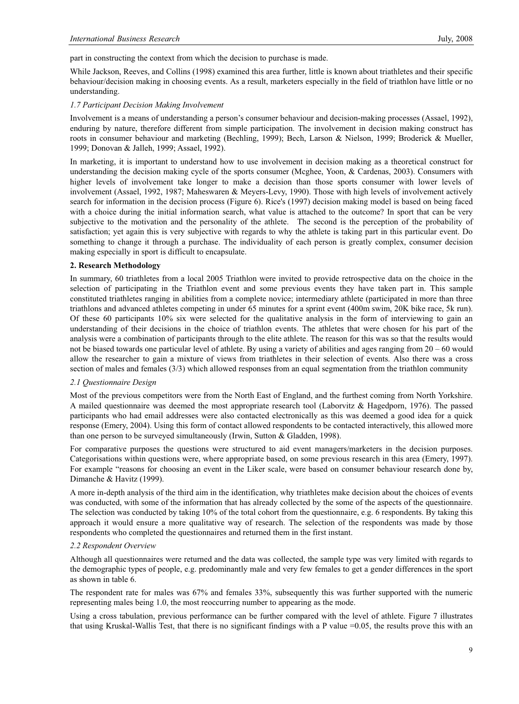part in constructing the context from which the decision to purchase is made.

While Jackson, Reeves, and Collins (1998) examined this area further, little is known about triathletes and their specific behaviour/decision making in choosing events. As a result, marketers especially in the field of triathlon have little or no understanding.

#### *1.7 Participant Decision Making Involvement*

Involvement is a means of understanding a person's consumer behaviour and decision-making processes (Assael, 1992), enduring by nature, therefore different from simple participation. The involvement in decision making construct has roots in consumer behaviour and marketing (Bechling, 1999); Bech, Larson & Nielson, 1999; Broderick & Mueller, 1999; Donovan & Jalleh, 1999; Assael, 1992).

In marketing, it is important to understand how to use involvement in decision making as a theoretical construct for understanding the decision making cycle of the sports consumer (Mcghee, Yoon, & Cardenas, 2003). Consumers with higher levels of involvement take longer to make a decision than those sports consumer with lower levels of involvement (Assael, 1992, 1987; Maheswaren & Meyers-Levy, 1990). Those with high levels of involvement actively search for information in the decision process (Figure 6). Rice's (1997) decision making model is based on being faced with a choice during the initial information search, what value is attached to the outcome? In sport that can be very subjective to the motivation and the personality of the athlete. The second is the perception of the probability of satisfaction; yet again this is very subjective with regards to why the athlete is taking part in this particular event. Do something to change it through a purchase. The individuality of each person is greatly complex, consumer decision making especially in sport is difficult to encapsulate.

### **2. Research Methodology**

In summary, 60 triathletes from a local 2005 Triathlon were invited to provide retrospective data on the choice in the selection of participating in the Triathlon event and some previous events they have taken part in. This sample constituted triathletes ranging in abilities from a complete novice; intermediary athlete (participated in more than three triathlons and advanced athletes competing in under 65 minutes for a sprint event (400m swim, 20K bike race, 5k run). Of these 60 participants 10% six were selected for the qualitative analysis in the form of interviewing to gain an understanding of their decisions in the choice of triathlon events. The athletes that were chosen for his part of the analysis were a combination of participants through to the elite athlete. The reason for this was so that the results would not be biased towards one particular level of athlete. By using a variety of abilities and ages ranging from 20 – 60 would allow the researcher to gain a mixture of views from triathletes in their selection of events. Also there was a cross section of males and females (3/3) which allowed responses from an equal segmentation from the triathlon community

#### *2.1 Questionnaire Design*

Most of the previous competitors were from the North East of England, and the furthest coming from North Yorkshire. A mailed questionnaire was deemed the most appropriate research tool (Laborvitz & Hagedporn, 1976). The passed participants who had email addresses were also contacted electronically as this was deemed a good idea for a quick response (Emery, 2004). Using this form of contact allowed respondents to be contacted interactively, this allowed more than one person to be surveyed simultaneously (Irwin, Sutton & Gladden, 1998).

For comparative purposes the questions were structured to aid event managers/marketers in the decision purposes. Categorisations within questions were, where appropriate based, on some previous research in this area (Emery, 1997). For example "reasons for choosing an event in the Liker scale, were based on consumer behaviour research done by, Dimanche & Havitz (1999).

A more in-depth analysis of the third aim in the identification, why triathletes make decision about the choices of events was conducted, with some of the information that has already collected by the some of the aspects of the questionnaire. The selection was conducted by taking 10% of the total cohort from the questionnaire, e.g. 6 respondents. By taking this approach it would ensure a more qualitative way of research. The selection of the respondents was made by those respondents who completed the questionnaires and returned them in the first instant.

#### *2.2 Respondent Overview*

Although all questionnaires were returned and the data was collected, the sample type was very limited with regards to the demographic types of people, e.g. predominantly male and very few females to get a gender differences in the sport as shown in table 6.

The respondent rate for males was 67% and females 33%, subsequently this was further supported with the numeric representing males being 1.0, the most reoccurring number to appearing as the mode.

Using a cross tabulation, previous performance can be further compared with the level of athlete. Figure 7 illustrates that using Kruskal-Wallis Test, that there is no significant findings with a P value =0.05, the results prove this with an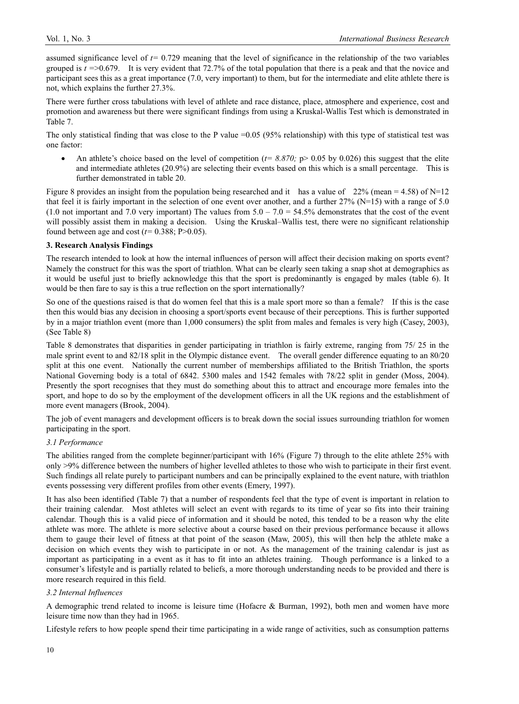assumed significance level of *t=* 0.729 meaning that the level of significance in the relationship of the two variables grouped is *t =*>0.679. It is very evident that 72.7% of the total population that there is a peak and that the novice and participant sees this as a great importance (7.0, very important) to them, but for the intermediate and elite athlete there is not, which explains the further 27.3%.

There were further cross tabulations with level of athlete and race distance, place, atmosphere and experience, cost and promotion and awareness but there were significant findings from using a Kruskal-Wallis Test which is demonstrated in Table 7.

The only statistical finding that was close to the P value  $=0.05$  (95% relationship) with this type of statistical test was one factor:

An athlete's choice based on the level of competition  $(t= 8.870; p> 0.05$  by 0.026) this suggest that the elite and intermediate athletes (20.9%) are selecting their events based on this which is a small percentage. This is further demonstrated in table 20.

Figure 8 provides an insight from the population being researched and it has a value of 22% (mean = 4.58) of  $N=12$ that feel it is fairly important in the selection of one event over another, and a further  $27\%$  (N=15) with a range of 5.0 (1.0 not important and 7.0 very important) The values from  $5.0 - 7.0 = 54.5\%$  demonstrates that the cost of the event will possibly assist them in making a decision. Using the Kruskal–Wallis test, there were no significant relationship found between age and cost  $(t=0.388; P>0.05)$ .

### **3. Research Analysis Findings**

The research intended to look at how the internal influences of person will affect their decision making on sports event? Namely the construct for this was the sport of triathlon. What can be clearly seen taking a snap shot at demographics as it would be useful just to briefly acknowledge this that the sport is predominantly is engaged by males (table 6). It would be then fare to say is this a true reflection on the sport internationally?

So one of the questions raised is that do women feel that this is a male sport more so than a female? If this is the case then this would bias any decision in choosing a sport/sports event because of their perceptions. This is further supported by in a major triathlon event (more than 1,000 consumers) the split from males and females is very high (Casey, 2003), (See Table 8)

Table 8 demonstrates that disparities in gender participating in triathlon is fairly extreme, ranging from 75/25 in the male sprint event to and 82/18 split in the Olympic distance event. The overall gender difference equating to an 80/20 split at this one event. Nationally the current number of memberships affiliated to the British Triathlon, the sports National Governing body is a total of 6842. 5300 males and 1542 females with 78/22 split in gender (Moss, 2004). Presently the sport recognises that they must do something about this to attract and encourage more females into the sport, and hope to do so by the employment of the development officers in all the UK regions and the establishment of more event managers (Brook, 2004).

The job of event managers and development officers is to break down the social issues surrounding triathlon for women participating in the sport.

### *3.1 Performance*

The abilities ranged from the complete beginner/participant with 16% (Figure 7) through to the elite athlete 25% with only >9% difference between the numbers of higher levelled athletes to those who wish to participate in their first event. Such findings all relate purely to participant numbers and can be principally explained to the event nature, with triathlon events possessing very different profiles from other events (Emery, 1997).

It has also been identified (Table 7) that a number of respondents feel that the type of event is important in relation to their training calendar. Most athletes will select an event with regards to its time of year so fits into their training calendar. Though this is a valid piece of information and it should be noted, this tended to be a reason why the elite athlete was more. The athlete is more selective about a course based on their previous performance because it allows them to gauge their level of fitness at that point of the season (Maw, 2005), this will then help the athlete make a decision on which events they wish to participate in or not. As the management of the training calendar is just as important as participating in a event as it has to fit into an athletes training. Though performance is a linked to a consumer's lifestyle and is partially related to beliefs, a more thorough understanding needs to be provided and there is more research required in this field.

## *3.2 Internal Influences*

A demographic trend related to income is leisure time (Hofacre & Burman, 1992), both men and women have more leisure time now than they had in 1965.

Lifestyle refers to how people spend their time participating in a wide range of activities, such as consumption patterns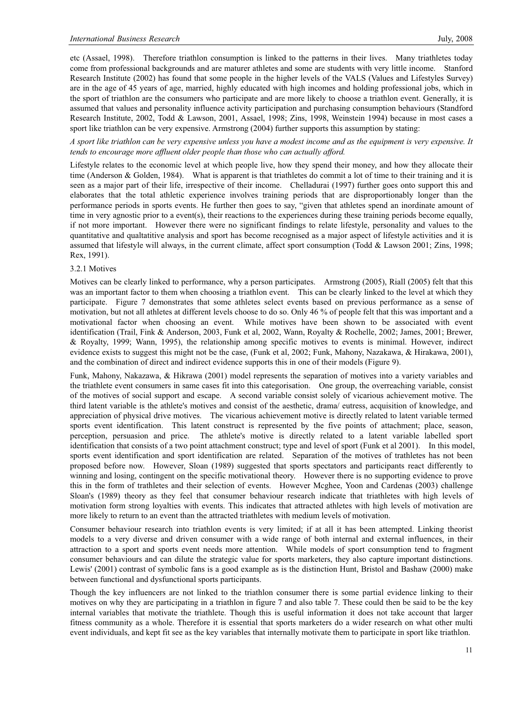etc (Assael, 1998). Therefore triathlon consumption is linked to the patterns in their lives. Many triathletes today come from professional backgrounds and are maturer athletes and some are students with very little income. Stanford Research Institute (2002) has found that some people in the higher levels of the VALS (Values and Lifestyles Survey) are in the age of 45 years of age, married, highly educated with high incomes and holding professional jobs, which in the sport of triathlon are the consumers who participate and are more likely to choose a triathlon event. Generally, it is assumed that values and personality influence activity participation and purchasing consumption behaviours (Standford Research Institute, 2002, Todd & Lawson, 2001, Assael, 1998; Zins, 1998, Weinstein 1994) because in most cases a sport like triathlon can be very expensive. Armstrong (2004) further supports this assumption by stating:

*A sport like triathlon can be very expensive unless you have a modest income and as the equipment is very expensive. It tends to encourage more affluent older people than those who can actually afford.* 

Lifestyle relates to the economic level at which people live, how they spend their money, and how they allocate their time (Anderson & Golden, 1984). What is apparent is that triathletes do commit a lot of time to their training and it is seen as a major part of their life, irrespective of their income. Chelladurai (1997) further goes onto support this and elaborates that the total athletic experience involves training periods that are disproportionably longer than the performance periods in sports events. He further then goes to say, "given that athletes spend an inordinate amount of time in very agnostic prior to a event(s), their reactions to the experiences during these training periods become equally, if not more important. However there were no significant findings to relate lifestyle, personality and values to the quantitative and qualtatitive analysis and sport has become recognised as a major aspect of lifestyle activities and it is assumed that lifestyle will always, in the current climate, affect sport consumption (Todd & Lawson 2001; Zins, 1998; Rex, 1991).

#### 3.2.1 Motives

Motives can be clearly linked to performance, why a person participates. Armstrong (2005), Riall (2005) felt that this was an important factor to them when choosing a triathlon event. This can be clearly linked to the level at which they participate. Figure 7 demonstrates that some athletes select events based on previous performance as a sense of motivation, but not all athletes at different levels choose to do so. Only 46 % of people felt that this was important and a motivational factor when choosing an event. While motives have been shown to be associated with event identification (Trail, Fink & Anderson, 2003, Funk et al, 2002, Wann, Royalty & Rochelle, 2002; James, 2001; Brewer, & Royalty, 1999; Wann, 1995), the relationship among specific motives to events is minimal. However, indirect evidence exists to suggest this might not be the case, (Funk et al, 2002; Funk, Mahony, Nazakawa, & Hirakawa, 2001), and the combination of direct and indirect evidence supports this in one of their models (Figure 9).

Funk, Mahony, Nakazawa, & Hikrawa (2001) model represents the separation of motives into a variety variables and the triathlete event consumers in same cases fit into this categorisation. One group, the overreaching variable, consist of the motives of social support and escape. A second variable consist solely of vicarious achievement motive. The third latent variable is the athlete's motives and consist of the aesthetic, drama/ eutress, acquisition of knowledge, and appreciation of physical drive motives. The vicarious achievement motive is directly related to latent variable termed sports event identification. This latent construct is represented by the five points of attachment; place, season, perception, persuasion and price. The athlete's motive is directly related to a latent variable labelled sport identification that consists of a two point attachment construct; type and level of sport (Funk et al 2001). In this model, sports event identification and sport identification are related. Separation of the motives of trathletes has not been proposed before now. However, Sloan (1989) suggested that sports spectators and participants react differently to winning and losing, contingent on the specific motivational theory. However there is no supporting evidence to prove this in the form of trathletes and their selection of events. However Mcghee, Yoon and Cardenas (2003) challenge Sloan's (1989) theory as they feel that consumer behaviour research indicate that triathletes with high levels of motivation form strong loyalties with events. This indicates that attracted athletes with high levels of motivation are more likely to return to an event than the attracted triathletes with medium levels of motivation.

Consumer behaviour research into triathlon events is very limited; if at all it has been attempted. Linking theorist models to a very diverse and driven consumer with a wide range of both internal and external influences, in their attraction to a sport and sports event needs more attention. While models of sport consumption tend to fragment consumer behaviours and can dilute the strategic value for sports marketers, they also capture important distinctions. Lewis' (2001) contrast of symbolic fans is a good example as is the distinction Hunt, Bristol and Bashaw (2000) make between functional and dysfunctional sports participants.

Though the key influencers are not linked to the triathlon consumer there is some partial evidence linking to their motives on why they are participating in a triathlon in figure 7 and also table 7. These could then be said to be the key internal variables that motivate the triathlete. Though this is useful information it does not take account that larger fitness community as a whole. Therefore it is essential that sports marketers do a wider research on what other multi event individuals, and kept fit see as the key variables that internally motivate them to participate in sport like triathlon.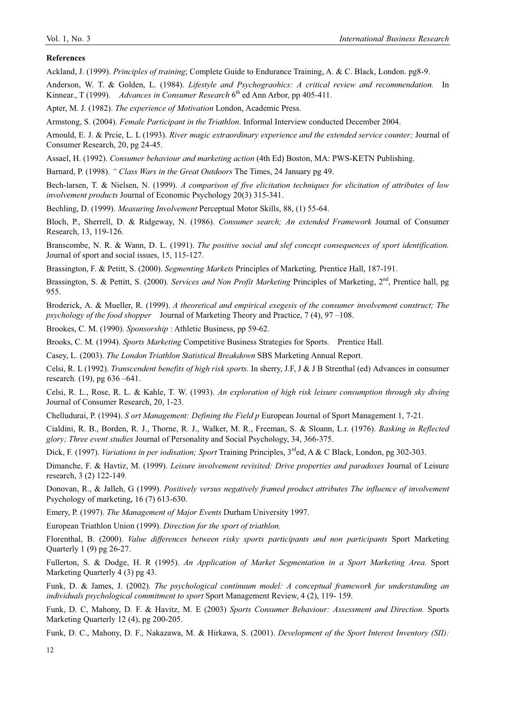#### **References**

Ackland, J. (1999). *Principles of training*; Complete Guide to Endurance Training, A. & C. Black, London. pg8-9.

Anderson, W. T. & Golden, L. (1984). *Lifestyle and Psychograohics: A critical review and recommendation.* In Kinnear., T (1999). *Advances in Consumer Research*  $6<sup>th</sup>$  ed Ann Arbor, pp 405-411.

Apter, M. J. (1982). *The experience of Motivation* London, Academic Press.

Armstong, S. (2004). *Female Participant in the Triathlon*. Informal Interview conducted December 2004.

Arnould, E. J. & Prcie, L. L (1993). *River magic extraordinary experience and the extended service counter;* Journal of Consumer Research, 20, pg 24-45.

Assael, H. (1992). *Consumer behaviour and marketing action* (4th Ed) Boston, MA: PWS-KETN Publishing.

Barnard, P. (1998). *" Class Wars in the Great Outdoors* The Times, 24 January pg 49.

Bech-larsen, T. & Nielsen, N. (1999). *A comparison of five elicitation techniques for elicitation of attributes of low involvement products* Journal of Economic Psychology 20(3) 315-341.

Bechling, D. (1999). *Measuring Involvement* Perceptual Motor Skills, 88, (1) 55-64.

Bloch, P., Sherrell, D. & Ridgeway, N. (1986). *Consumer search; An extended Framework* Journal of Consumer Research, 13, 119-126.

Branscombe, N. R. & Wann, D. L. (1991). *The positive social and slef concept consequences of sport identification.*  Journal of sport and social issues, 15, 115-127.

Brassington, F. & Petitt, S. (2000). *Segmenting Markets* Principles of Marketing*,* Prentice Hall, 187-191.

Brassington, S. & Pettitt, S. (2000). *Services and Non Profit Marketing* Principles of Marketing, 2<sup>nd</sup>, Prentice hall, pg 955.

Broderick, A. & Mueller, R. (1999). *A theoretical and empirical exegesis of the consumer involvement construct; The psychology of the food shopper* Journal of Marketing Theory and Practice, 7 (4), 97 –108.

Brookes, C. M. (1990). *Sponsorship* : Athletic Business, pp 59-62.

Brooks, C. M. (1994). *Sports Marketing* Competitive Business Strategies for Sports. Prentice Hall.

Casey, L. (2003). *The London Triathlon Statistical Breakdown* SBS Marketing Annual Report.

Celsi, R. L (1992). *Transcendent benefits of high risk sports.* In sherry, J.F, J & J B Strenthal (ed) Advances in consumer research*.* (19), pg 636 –641.

Celsi, R. L., Rose, R. L. & Kahle, T. W. (1993). *An exploration of high risk leisure consumption through sky diving*  Journal of Consumer Research, 20, 1-23.

Chelludurai, P. (1994). *S ort Management: Defining the Field p* European Journal of Sport Management 1, 7-21.

Cialdini, R. B., Borden, R. J., Thorne, R. J., Walker, M. R., Freeman, S. & Sloann, L.r. (1976). *Basking in Reflected glory; Three event studies* Journal of Personality and Social Psychology, 34, 366-375.

Dick, F. (1997). *Variations in per iodisation; Sport* Training Principles, 3<sup>rd</sup>ed, A & C Black, London, pg 302-303.

Dimanche, F. & Havtiz, M. (1999). *Leisure involvement revisited: Drive properties and paradoxes* Journal of Leisure research, 3 (2) 122-149.

Donovan, R., & Jalleh, G (1999). *Positively versus negatively framed product attributes The influence of involvement*  Psychology of marketing, 16 (7) 613-630.

Emery, P. (1997). *The Management of Major Events* Durham University 1997.

European Triathlon Union (1999). *Direction for the sport of triathlon.*

Florenthal, B. (2000). *Value differences between risky sports participants and non participants* Sport Marketing Quarterly 1 (9) pg 26-27.

Fullerton, S. & Dodge, H. R (1995). *An Application of Market Segmentation in a Sport Marketing Area.* Sport Marketing Quarterly 4 (3) pg 43.

Funk, D. & James, J. (2002). *The psychological continuum model: A conceptual framework for understanding an individuals psychological commitment to sport* Sport Management Review, 4 (2), 119- 159.

Funk, D. C, Mahony, D. F. & Havitz, M. E (2003) *Sports Consumer Behaviour: Assessment and Direction.* Sports Marketing Quarterly 12 (4), pg 200-205.

Funk, D. C., Mahony, D. F., Nakazawa, M. & Hirkawa, S. (2001). *Development of the Sport Interest Inventory (SII):*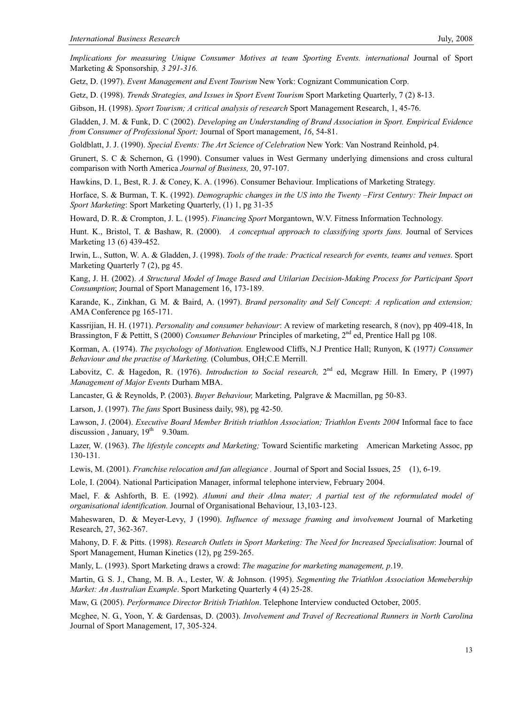*Implications for measuring Unique Consumer Motives at team Sporting Events. international Journal of Sport* Marketing & Sponsorship*, 3 291-316.*

Getz, D. (1997). *Event Management and Event Tourism* New York: Cognizant Communication Corp.

Getz, D. (1998). *Trends Strategies, and Issues in Sport Event Tourism* Sport Marketing Quarterly, 7 (2) 8-13.

Gibson, H. (1998). *Sport Tourism; A critical analysis of research* Sport Management Research, 1, 45-76.

Gladden, J. M. & Funk, D. C (2002). *Developing an Understanding of Brand Association in Sport. Empirical Evidence from Consumer of Professional Sport;* Journal of Sport management, *16*, 54-81.

Goldblatt, J. J. (1990). *Special Events: The Art Science of Celebration* New York: Van Nostrand Reinhold, p4.

Grunert, S. C & Schernon, G. (1990). Consumer values in West Germany underlying dimensions and cross cultural comparison with North America *Journal of Business,* 20, 97-107.

Hawkins, D. I., Best, R. J. & Coney, K. A. (1996). Consumer Behaviour. Implications of Marketing Strategy.

Horface, S. & Burman, T. K. (1992). *Demographic changes in the US into the Twenty –First Century: Their Impact on Sport Marketing*: Sport Marketing Quarterly, (1) 1, pg 31-35

Howard, D. R. & Crompton, J. L. (1995). *Financing Sport* Morgantown, W.V. Fitness Information Technology.

Hunt. K., Bristol, T. & Bashaw, R. (2000). *A conceptual approach to classifying sports fans.* Journal of Services Marketing 13 (6) 439-452.

Irwin, L., Sutton, W. A. & Gladden, J. (1998). *Tools of the trade: Practical research for events, teams and venues*. Sport Marketing Quarterly 7 (2), pg 45.

Kang, J. H. (2002). *A Structural Model of Image Based and Utilarian Decision-Making Process for Participant Sport Consumption*; Journal of Sport Management 16, 173-189.

Karande, K., Zinkhan, G. M. & Baird, A. (1997). *Brand personality and Self Concept: A replication and extension;* AMA Conference pg 165-171.

Kassrijian, H. H. (1971). *Personality and consumer behaviour*: A review of marketing research, 8 (nov), pp 409-418, In Brassington, F & Pettitt, S (2000) *Consumer Behaviour* Principles of marketing, 2<sup>nd</sup> ed, Prentice Hall pg 108.

Korman, A. (1974). *The psychology of Motivation.* Englewood Cliffs, N.J Prentice Hall; Runyon, K (1977*) Consumer Behaviour and the practise of Marketing.* (Columbus, OH;C.E Merrill.

Labovitz, C. & Hagedon, R. (1976). *Introduction to Social research*, 2<sup>nd</sup> ed, Mcgraw Hill. In Emery, P (1997) *Management of Major Events* Durham MBA.

Lancaster, G. & Reynolds, P. (2003). *Buyer Behaviour,* Marketing*,* Palgrave & Macmillan, pg 50-83.

Larson, J. (1997). *The fans* Sport Business daily, 98), pg 42-50.

Lawson, J. (2004). *Executive Board Member British triathlon Association; Triathlon Events 2004* Informal face to face discussion, January,  $19<sup>th</sup>$  9.30am.

Lazer, W. (1963). *The lifestyle concepts and Marketing;* Toward Scientific marketing American Marketing Assoc, pp 130-131.

Lewis, M. (2001). *Franchise relocation and fan allegiance .* Journal of Sport and Social Issues, 25 (1), 6-19.

Lole, I. (2004). National Participation Manager, informal telephone interview, February 2004.

Mael, F. & Ashforth, B. E. (1992). *Alumni and their Alma mater; A partial test of the reformulated model of organisational identification.* Journal of Organisational Behaviour, 13,103-123.

Maheswaren, D. & Meyer-Levy, J (1990). *Influence of message framing and involvement* Journal of Marketing Research, 27, 362-367.

Mahony, D. F. & Pitts. (1998). *Research Outlets in Sport Marketing: The Need for Increased Specialisation*: Journal of Sport Management, Human Kinetics (12), pg 259-265.

Manly, L. (1993). Sport Marketing draws a crowd: *The magazine for marketing management, p*.19.

Martin, G. S. J., Chang, M. B. A., Lester, W. & Johnson. (1995). *Segmenting the Triathlon Association Memebership Market: An Australian Example*. Sport Marketing Quarterly 4 (4) 25-28.

Maw, G. (2005). *Performance Director British Triathlon*. Telephone Interview conducted October, 2005.

Mcghee, N. G., Yoon, Y. & Gardensas, D. (2003). *Involvement and Travel of Recreational Runners in North Carolina* Journal of Sport Management, 17, 305-324.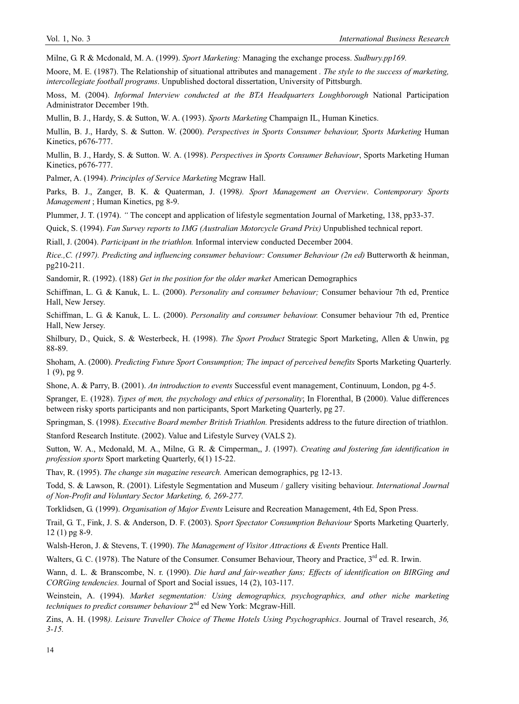Milne, G. R & Mcdonald, M. A. (1999). *Sport Marketing:* Managing the exchange process. *Sudbury.pp169.* 

Moore, M. E. (1987). The Relationship of situational attributes and management *. The style to the success of marketing, intercollegiate football programs*. Unpublished doctoral dissertation, University of Pittsburgh.

Moss, M. (2004). *Informal Interview conducted at the BTA Headquarters Loughborough* National Participation Administrator December 19th.

Mullin, B. J., Hardy, S. & Sutton, W. A. (1993). *Sports Marketing* Champaign IL, Human Kinetics.

Mullin, B. J., Hardy, S. & Sutton. W. (2000). *Perspectives in Sports Consumer behaviour, Sports Marketing* Human Kinetics, p676-777.

Mullin, B. J., Hardy, S. & Sutton. W. A. (1998). *Perspectives in Sports Consumer Behaviour*, Sports Marketing Human Kinetics, p676-777.

Palmer, A. (1994). *Principles of Service Marketing* Mcgraw Hall.

Parks, B. J., Zanger, B. K. & Quaterman, J. (1998*). Sport Management an Overview*. *Contemporary Sports Management* ; Human Kinetics, pg 8-9.

Plummer, J. T. (1974). *"* The concept and application of lifestyle segmentation Journal of Marketing, 138, pp33-37.

Quick, S. (1994). *Fan Survey reports to IMG (Australian Motorcycle Grand Prix)* Unpublished technical report.

Riall, J. (2004). *Participant in the triathlon.* Informal interview conducted December 2004.

*Rice.,C. (1997). Predicting and influencing consumer behaviour: Consumer Behaviour (2n ed)* Butterworth & heinman, pg210-211.

Sandomir, R. (1992). (188) *Get in the position for the older market* American Demographics

Schiffman, L. G. & Kanuk, L. L. (2000). *Personality and consumer behaviour;* Consumer behaviour 7th ed, Prentice Hall, New Jersey.

Schiffman, L. G. & Kanuk, L. L. (2000). *Personality and consumer behaviour.* Consumer behaviour 7th ed, Prentice Hall, New Jersey.

Shilbury, D., Quick, S. & Westerbeck, H. (1998). *The Sport Product* Strategic Sport Marketing, Allen & Unwin, pg 88-89.

Shoham, A. (2000). *Predicting Future Sport Consumption; The impact of perceived benefits* Sports Marketing Quarterly. 1 (9), pg 9.

Shone, A. & Parry, B. (2001). *An introduction to events* Successful event management, Continuum, London, pg 4-5.

Spranger, E. (1928). *Types of men, the psychology and ethics of personality*; In Florenthal, B (2000). Value differences between risky sports participants and non participants, Sport Marketing Quarterly, pg 27.

Springman, S. (1998). *Executive Board member British Triathlon.* Presidents address to the future direction of triathlon. Stanford Research Institute. (2002). Value and Lifestyle Survey (VALS 2).

Sutton, W. A., Mcdonald, M. A., Milne, G. R. & Cimperman,, J. (1997). *Creating and fostering fan identification in profession sports* Sport marketing Quarterly, 6(1) 15-22.

Thav, R. (1995). *The change sin magazine research.* American demographics, pg 12-13.

Todd, S. & Lawson, R. (2001). Lifestyle Segmentation and Museum / gallery visiting behaviour. *International Journal of Non-Profit and Voluntary Sector Marketing, 6, 269-277.*

Torklidsen, G. (1999). *Organisation of Major Events* Leisure and Recreation Management, 4th Ed, Spon Press.

Trail, G. T., Fink, J. S. & Anderson, D. F. (2003). S*port Spectator Consumption Behaviour* Sports Marketing Quarterly*,* 12 (1) pg 8-9.

Walsh-Heron, J. & Stevens, T. (1990). *The Management of Visitor Attractions & Events* Prentice Hall.

Walters, G. C. (1978). The Nature of the Consumer. Consumer Behaviour, Theory and Practice, 3<sup>rd</sup> ed. R. Irwin.

Wann, d. L. & Branscombe, N. r. (1990). *Die hard and fair-weather fans; Effects of identification on BIRGing and CORGing tendencies.* Journal of Sport and Social issues, 14 (2), 103-117.

Weinstein, A. (1994). *Market segmentation: Using demographics, psychographics, and other niche marketing techniques to predict consumer behaviour*  $2^{nd}$  ed New York: Mcgraw-Hill.

Zins, A. H. (1998*). Leisure Traveller Choice of Theme Hotels Using Psychographics*. Journal of Travel research, *36, 3-15.*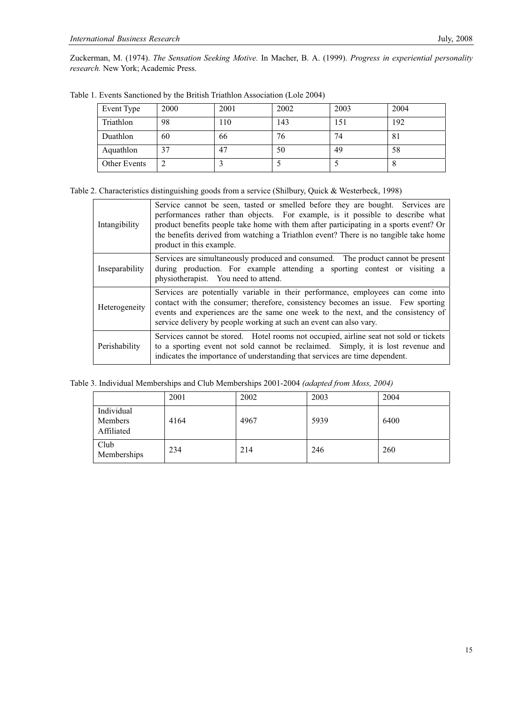Zuckerman, M. (1974). *The Sensation Seeking Motive.* In Macher, B. A. (1999). *Progress in experiential personality research.* New York; Academic Press.

| Event Type   | 2000 | 2001 | 2002 | 2003 | 2004 |
|--------------|------|------|------|------|------|
| Triathlon    | 98   | 110  | 143  | 151  | 192  |
| Duathlon     | 60   | 66   | 76   | 74   | 81   |
| Aquathlon    | 37   | 47   | 50   | 49   | 58   |
| Other Events | 2    |      |      |      | ∧    |

Table 1. Events Sanctioned by the British Triathlon Association (Lole 2004)

|  |  |  |  | Table 2. Characteristics distinguishing goods from a service (Shilbury, Quick & Westerbeck, 1998) |  |  |
|--|--|--|--|---------------------------------------------------------------------------------------------------|--|--|
|--|--|--|--|---------------------------------------------------------------------------------------------------|--|--|

| Intangibility  | Service cannot be seen, tasted or smelled before they are bought. Services are<br>performances rather than objects. For example, is it possible to describe what<br>product benefits people take home with them after participating in a sports event? Or<br>the benefits derived from watching a Triathlon event? There is no tangible take home<br>product in this example. |
|----------------|-------------------------------------------------------------------------------------------------------------------------------------------------------------------------------------------------------------------------------------------------------------------------------------------------------------------------------------------------------------------------------|
| Inseparability | Services are simultaneously produced and consumed. The product cannot be present<br>during production. For example attending a sporting contest or visiting a<br>physiotherapist. You need to attend.                                                                                                                                                                         |
| Heterogeneity  | Services are potentially variable in their performance, employees can come into<br>contact with the consumer; therefore, consistency becomes an issue. Few sporting<br>events and experiences are the same one week to the next, and the consistency of<br>service delivery by people working at such an event can also vary.                                                 |
| Perishability  | Services cannot be stored. Hotel rooms not occupied, airline seat not sold or tickets<br>to a sporting event not sold cannot be reclaimed. Simply, it is lost revenue and<br>indicates the importance of understanding that services are time dependent.                                                                                                                      |

|  | Table 3. Individual Memberships and Club Memberships 2001-2004 (adapted from Moss, 2004) |  |  |  |
|--|------------------------------------------------------------------------------------------|--|--|--|
|  |                                                                                          |  |  |  |

|                                     | 2001 | 2002 | 2003 | 2004 |
|-------------------------------------|------|------|------|------|
| Individual<br>Members<br>Affiliated | 4164 | 4967 | 5939 | 6400 |
| Club<br>Memberships                 | 234  | 214  | 246  | 260  |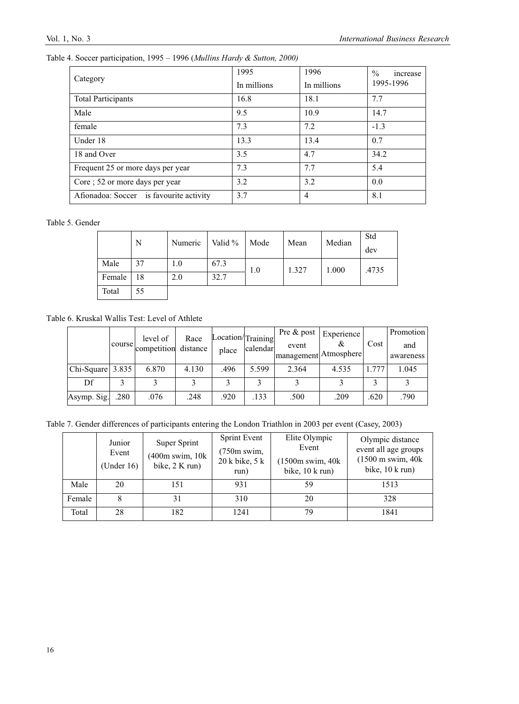## Table 4. Soccer participation, 1995 – 1996 (*Mullins Hardy & Sutton, 2000)*

| Category                                | 1995<br>In millions | 1996<br>In millions | $\frac{0}{0}$<br>increase<br>1995-1996 |
|-----------------------------------------|---------------------|---------------------|----------------------------------------|
| <b>Total Participants</b>               | 16.8                | 18.1                | 7.7                                    |
| Male                                    | 9.5                 | 10.9                | 14.7                                   |
| female                                  | 7.3                 | 7.2                 | $-1.3$                                 |
| Under 18                                | 13.3                | 13.4                | 0.7                                    |
| 18 and Over                             | 3.5                 | 4.7                 | 34.2                                   |
| Frequent 25 or more days per year       | 7.3                 | 7.7                 | 5.4                                    |
| Core ; 52 or more days per year         | 3.2                 | 3.2                 | 0.0                                    |
| Afionadoa: Soccer is favourite activity | 3.7                 | 4                   | 8.1                                    |

## Table 5. Gender

|        | N  | Numeric | Valid % | Mode | Mean  | Median | Std   |
|--------|----|---------|---------|------|-------|--------|-------|
|        |    |         |         |      |       |        | dev   |
| Male   | 37 | 1.0     | 67.3    | 1.0  | 1.327 | 1.000  | .4735 |
| Female | 18 | 2.0     | 32.7    |      |       |        |       |
| Total  | 55 |         |         |      |       |        |       |

Table 6. Kruskal Wallis Test: Level of Athlete

|                      | course | level of<br>competition | Race<br>distance | Localion / Training<br>place | calendar | Pre & post<br>event<br> management Atmosphere | Experience<br>& | Cost | Promotion<br>and<br>awareness |
|----------------------|--------|-------------------------|------------------|------------------------------|----------|-----------------------------------------------|-----------------|------|-------------------------------|
| $ Chi-Square $ 3.835 |        | 6.870                   | 4.130            | .496                         | 5.599    | 2.364                                         | 4.535           | .777 | 1.045                         |
| Df                   | 2      |                         |                  |                              |          |                                               |                 |      |                               |
| Asymp. Sig.          | .280   | .076                    | .248             | .920                         | .133     | .500                                          | .209            | .620 | .790                          |

Table 7. Gender differences of participants entering the London Triathlon in 2003 per event (Casey, 2003)

|        | Junior<br>Event<br>(Under $16$ ) | Super Sprint<br>$(400m$ swim, $10k$<br>bike, $2$ K run) | Sprint Event<br>$(750m)$ swim,<br>20 k bike, 5 k<br>run) | Elite Olympic<br>Event<br>$(1500m)$ swim, $40k$<br>bike, $10 \text{ k run}$ ) | Olympic distance<br>event all age groups<br>$(1500 \text{ m} \text{ swim}, 40 \text{k})$<br>bike, $10 \text{ k run}$ ) |
|--------|----------------------------------|---------------------------------------------------------|----------------------------------------------------------|-------------------------------------------------------------------------------|------------------------------------------------------------------------------------------------------------------------|
| Male   | 20                               | 151                                                     | 931                                                      | 59                                                                            | 1513                                                                                                                   |
| Female | 8                                | 31                                                      | 310                                                      | 20                                                                            | 328                                                                                                                    |
| Total  | 28                               | 182                                                     | 1241                                                     | 79                                                                            | 1841                                                                                                                   |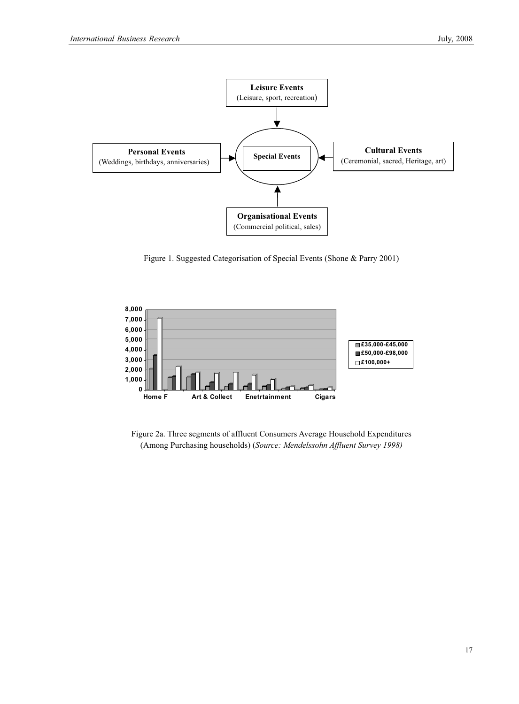

Figure 1. Suggested Categorisation of Special Events (Shone & Parry 2001)



Figure 2a. Three segments of affluent Consumers Average Household Expenditures (Among Purchasing households) (*Source: Mendelssohn Affluent Survey 1998)*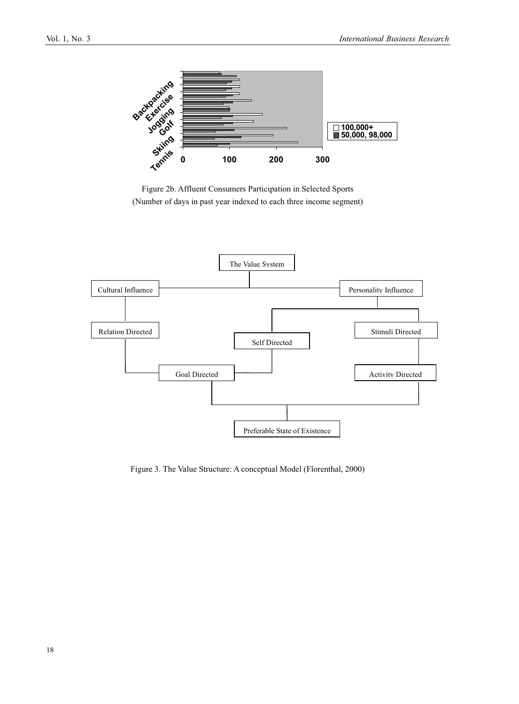

Figure 2b. Affluent Consumers Participation in Selected Sports (Number of days in past year indexed to each three income segment)



Figure 3. The Value Structure: A conceptual Model (Florenthal, 2000)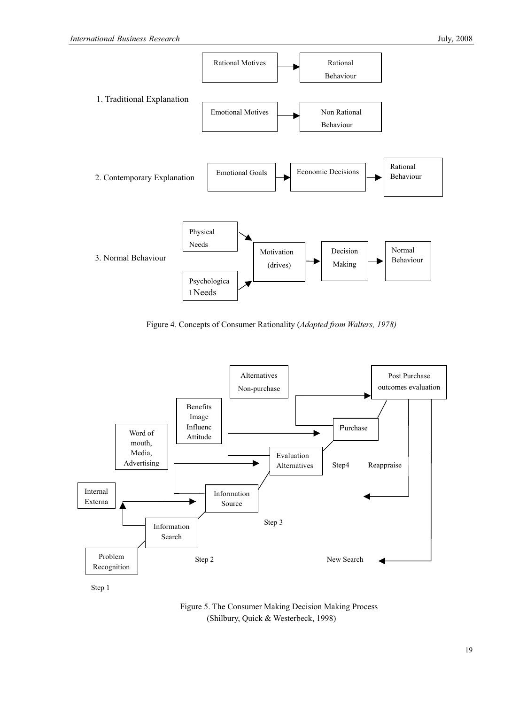

Figure 4. Concepts of Consumer Rationality (*Adapted from Walters, 1978)* 



Step 1

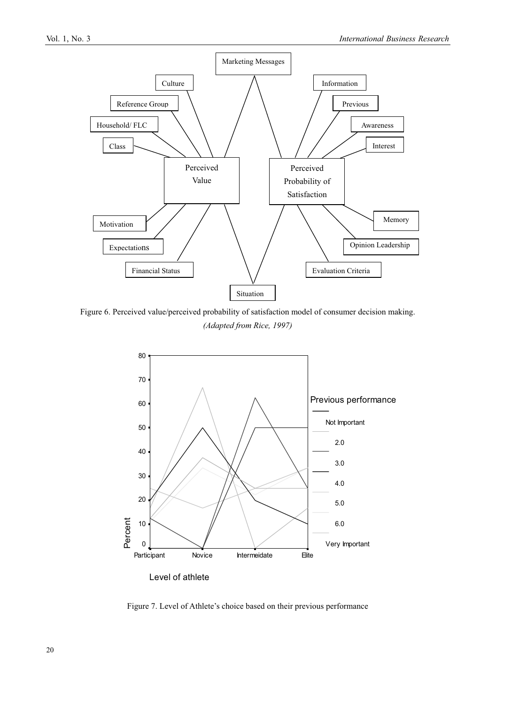

Figure 6. Perceived value/perceived probability of satisfaction model of consumer decision making. *(Adapted from Rice, 1997)* 



Figure 7. Level of Athlete's choice based on their previous performance